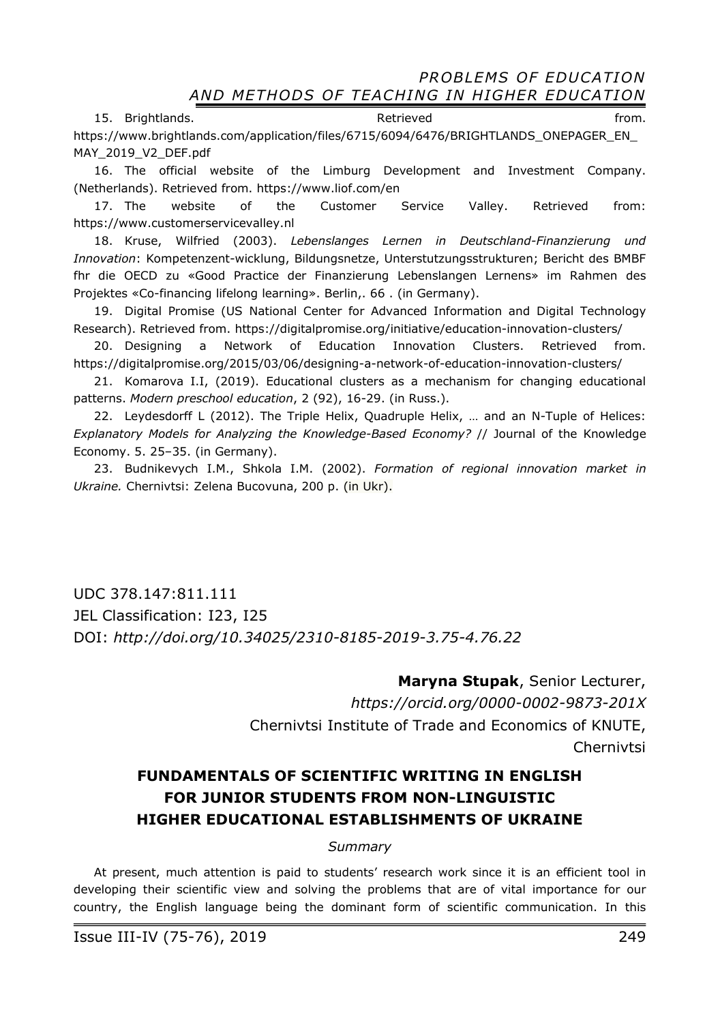15. Brightlands. The contract of the extreme of the Retrieved contract of the from. https://www.brightlands.com/application/files/6715/6094/6476/BRIGHTLANDS\_ONEPAGER\_EN MAY\_2019\_V2\_DEF.pdf

16. The official website of the Limburg Development and Investment Company. (Netherlands). Retrieved from. https://www.liof.com/en

17. The website of the Customer Service Valley. Retrieved from: https://www.customerservicevalley.nl

18. Kruse, Wilfried (2003). *Lebenslanges Lernen in Deutschland-Finanzierung und Innovation*: Kompetenzent-wicklung, Bildungsnetze, Unterstutzungsstrukturen; Bericht des BMBF fhr die OECD zu «Good Practice der Finanzierung Lebenslangen Lernens» im Rahmen des Projektes «Co-financing lifelong learning». Berlin,. 66 . (in Germany).

19. Digital Promise (US National Center for Advanced Information and Digital Technology Research). Retrieved from. https://digitalpromise.org/initiative/education-innovation-clusters/

20. Designing a Network of Education Innovation Clusters. Retrieved from. https://digitalpromise.org/2015/03/06/designing-a-network-of-education-innovation-clusters/

21. Komarova I.I, (2019). Educational clusters as a mechanism for changing educational patterns. *Modern preschool education*, 2 (92), 16-29. (in Russ.).

22. Leydesdorff L (2012). The Triple Helix, Quadruple Helix, … and an N-Tuple of Helices: *Explanatory Models for Analyzing the Knowledge-Based Economy?* // Journal of the Knowledge Economy. 5. 25–35. (in Germany).

23. Budnikevych I.M., Shkola I.M. (2002). *Formation of regional innovation market in Ukraine.* Chernivtsi: Zelena Bucovuna, 200 p. (in Ukr).

UDC 378.147:811.111 JEL Classification: I23, I25 DOI: *http://doi.org/10.34025/2310-8185-2019-3.75-4.76.22* 

> **Maryna Stupak**, Senior Lecturer, *https://orcid.org/0000-0002-9873-201X*  Chernivtsi Institute of Trade and Economics of KNUTE, Chernivtsi

# **FUNDAMENTALS OF SCIENTIFIC WRITING IN ENGLISH FOR JUNIOR STUDENTS FROM NON-LINGUISTIC HIGHER EDUCATIONAL ESTABLISHMENTS OF UKRAINE**

#### *Summary*

At present, much attention is paid to students' research work since it is an efficient tool in developing their scientific view and solving the problems that are of vital importance for our country, the English language being the dominant form of scientific communication. In this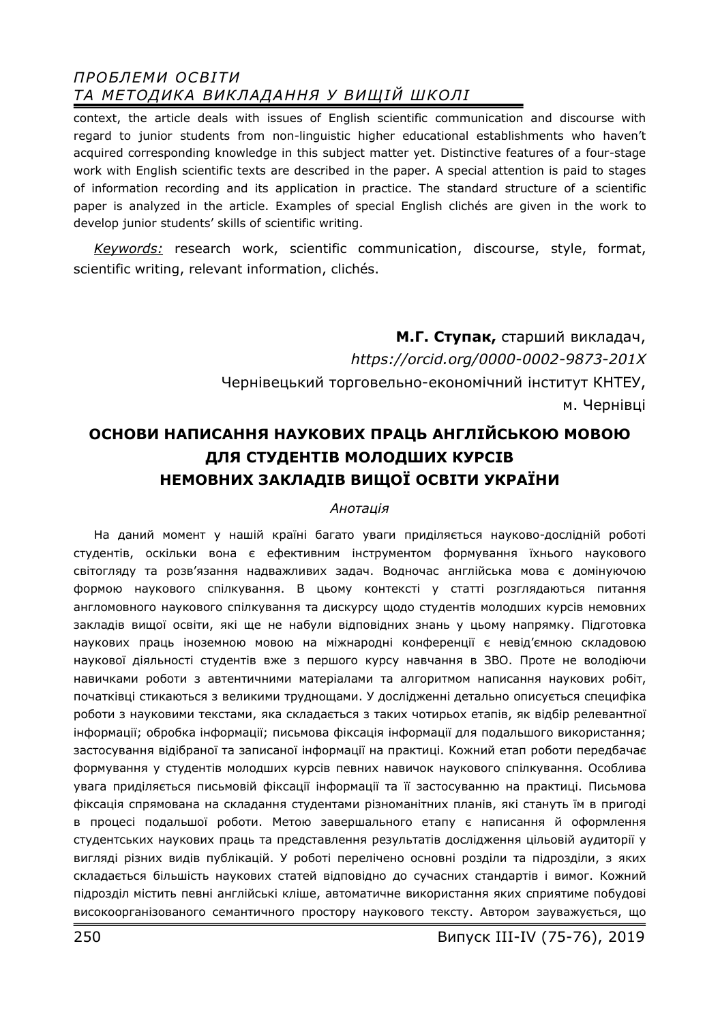context, the article deals with issues of English scientific communication and discourse with regard to junior students from non-linguistic higher educational establishments who haven't acquired corresponding knowledge in this subject matter yet. Distinctive features of a four-stage work with English scientific texts are described in the paper. A special attention is paid to stages of information recording and its application in practice. The standard structure of a scientific paper is analyzed in the article. Examples of special English clichés are given in the work to develop junior students' skills of scientific writing.

*Keywords:* research work, scientific communication, discourse, style, format, scientific writing, relevant information, clichés.

> **М.Г. Ступак,** старший викладач, *https://orcid.org/0000-0002-9873-201X*  Чернівецький торговельно-економічний інститут КНТЕУ, м. Чернівці

# **ОСНОВИ НАПИСАННЯ НАУКОВИХ ПРАЦЬ АНГЛІЙСЬКОЮ МОВОЮ ДЛЯ СТУДЕНТІВ МОЛОДШИХ КУРСІВ НЕМОВНИХ ЗАКЛАДІВ ВИЩОЇ ОСВІТИ УКРАЇНИ**

#### *Анотація*

На даний момент у нашій країні багато уваги приділяється науково-дослідній роботі студентів, оскільки вона є ефективним інструментом формування їхнього наукового світогляду та розв'язання надважливих задач. Водночас англійська мова є домінуючою формою наукового спілкування. В цьому контексті у статті розглядаються питання англомовного наукового спілкування та дискурсу щодо студентів молодших курсів немовних закладів вищої освіти, які ще не набули відповідних знань у цьому напрямку. Підготовка наукових праць іноземною мовою на міжнародні конференції є невід'ємною складовою наукової діяльності студентів вже з першого курсу навчання в ЗВО. Проте не володіючи навичками роботи з автентичними матеріалами та алгоритмом написання наукових робіт, початківці стикаються з великими труднощами. У дослідженні детально описується специфіка роботи з науковими текстами, яка складається з таких чотирьох етапів, як відбір релевантної інформації; обробка інформації; письмова фіксація інформації для подальшого використання; застосування відібраної та записаної інформації на практиці. Кожний етап роботи передбачає формування у студентів молодших курсів певних навичок наукового спілкування. Особлива увага приділяється письмовій фіксації інформації та її застосуванню на практиці. Письмова фіксація спрямована на складання студентами різноманітних планів, які стануть їм в пригоді в процесі подальшої роботи. Метою завершального етапу є написання й оформлення студентських наукових праць та представлення результатів дослідження цільовій аудиторії у вигляді різних видів публікацій. У роботі перелічено основні розділи та підрозділи, з яких складається більшість наукових статей відповідно до сучасних стандартів і вимог. Кожний підрозділ містить певні англійські кліше, автоматичне використання яких сприятиме побудові високоорганізованого семантичного простору наукового тексту. Автором зауважується, що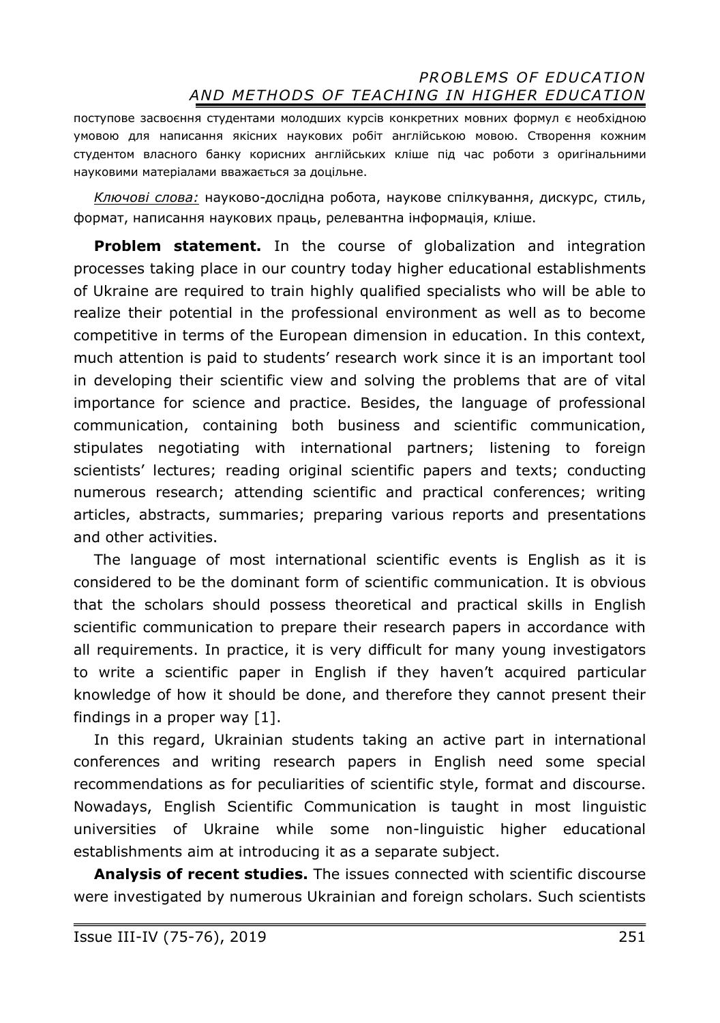поступове засвоєння студентами молодших курсів конкретних мовних формул є необхідною умовою для написання якісних наукових робіт англійською мовою. Створення кожним студентом власного банку корисних англійських кліше під час роботи з оригінальними науковими матеріалами вважається за доцільне.

*Ключові слова:* науково-дослідна робота, наукове спілкування, дискурс, стиль, формат, написання наукових праць, релевантна інформація, кліше.

**Problem statement.** In the course of globalization and integration processes taking place in our country today higher educational establishments of Ukraine are required to train highly qualified specialists who will be able to realize their potential in the professional environment as well as to become competitive in terms of the European dimension in education. In this context, much attention is paid to students' research work since it is an important tool in developing their scientific view and solving the problems that are of vital importance for science and practice. Besides, the language of professional communication, containing both business and scientific communication, stipulates negotiating with international partners; listening to foreign scientists' lectures; reading original scientific papers and texts; conducting numerous research; attending scientific and practical conferences; writing articles, abstracts, summaries; preparing various reports and presentations and other activities.

The language of most international scientific events is English as it is considered to be the dominant form of scientific communication. It is obvious that the scholars should possess theoretical and practical skills in English scientific communication to prepare their research papers in accordance with all requirements. In practice, it is very difficult for many young investigators to write a scientific paper in English if they haven't acquired particular knowledge of how it should be done, and therefore they cannot present their findings in a proper way [1].

In this regard, Ukrainian students taking an active part in international conferences and writing research papers in English need some special recommendations as for peculiarities of scientific style, format and discourse. Nowadays, English Scientific Communication is taught in most linguistic universities of Ukraine while some non-linguistic higher educational establishments aim at introducing it as a separate subject.

**Analysis of recent studies.** The issues connected with scientific discourse were investigated by numerous Ukrainian and foreign scholars. Such scientists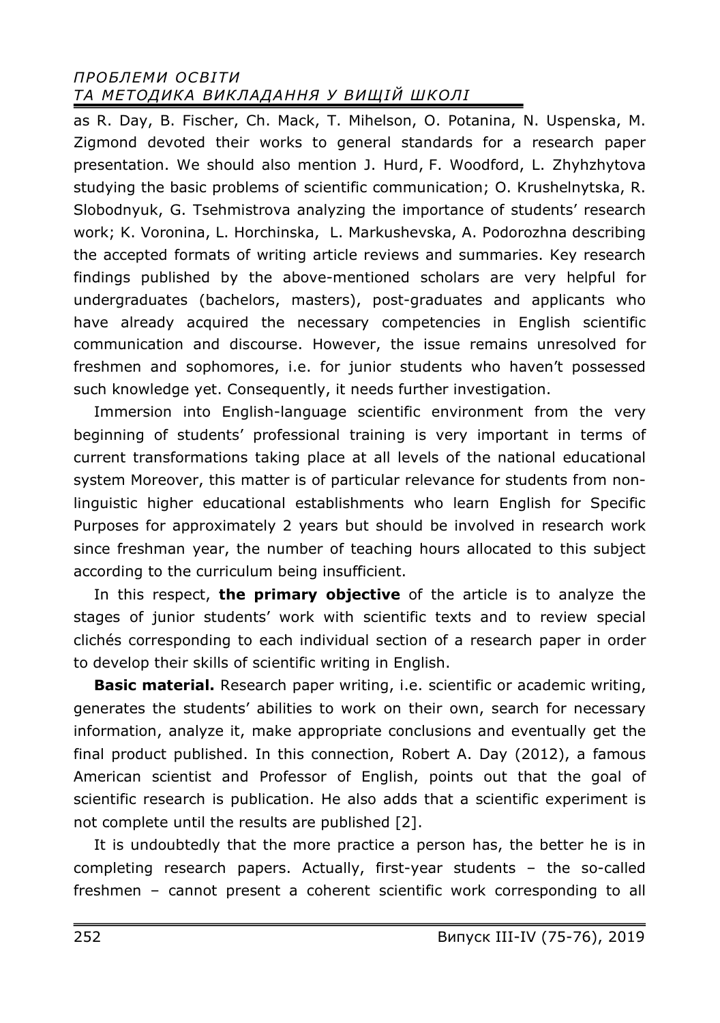as R. Day, B. Fischer, Ch. Mack, T. Mihelson, O. Potanina, N. Uspenska, M. Zigmond devoted their works to general standards for a research paper presentation. We should also mention J. Hurd, F. Woodford, L. Zhyhzhytova studying the basic problems of scientific communication; O. Krushelnytska, R. Slobodnyuk, G. Tsehmistrova analyzing the importance of students' research work; K. Voronina, L. Horchinska, L. Markushevska, A. Podorozhna describing the accepted formats of writing article reviews and summaries. Key research findings published by the above-mentioned scholars are very helpful for undergraduates (bachelors, masters), post-graduates and applicants who have already acquired the necessary competencies in English scientific communication and discourse. However, the issue remains unresolved for freshmen and sophomores, i.e. for junior students who haven't possessed such knowledge yet. Consequently, it needs further investigation.

Immersion into English-language scientific environment from the very beginning of students' professional training is very important in terms of current transformations taking place at all levels of the national educational system Moreover, this matter is of particular relevance for students from nonlinguistic higher educational establishments who learn English for Specific Purposes for approximately 2 years but should be involved in research work since freshman year, the number of teaching hours allocated to this subject according to the curriculum being insufficient.

In this respect, **the primary objective** of the article is to analyze the stages of junior students' work with scientific texts and to review special clichés corresponding to each individual section of a research paper in order to develop their skills of scientific writing in English.

**Basic material.** Research paper writing, i.e. scientific or academic writing, generates the students' abilities to work on their own, search for necessary information, analyze it, make appropriate conclusions and eventually get the final product published. In this connection, Robert A. Day (2012), a famous American scientist and Professor of English, points out that the goal of scientific research is publication. He also adds that a scientific experiment is not complete until the results are published [2].

It is undoubtedly that the more practice a person has, the better he is in completing research papers. Actually, first-year students – the so-called freshmen – cannot present a coherent scientific work corresponding to all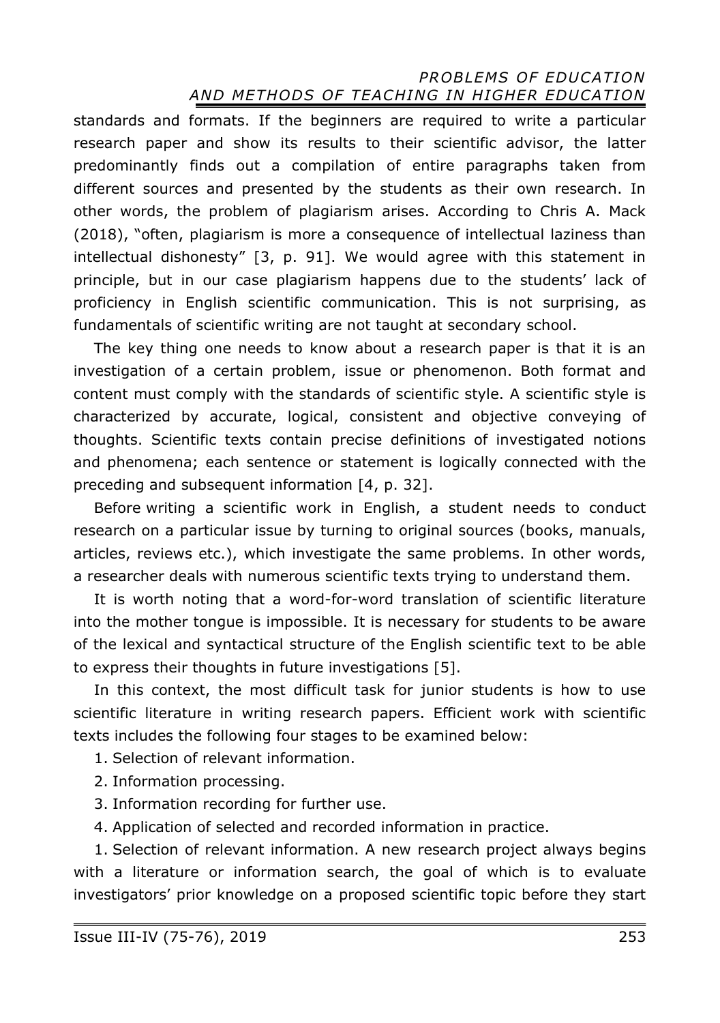standards and formats. If the beginners are required to write a particular research paper and show its results to their scientific advisor, the latter predominantly finds out a compilation of entire paragraphs taken from different sources and presented by the students as their own research. In other words, the problem of plagiarism arises. According to Chris A. Mack (2018), "often, plagiarism is more a consequence of intellectual laziness than intellectual dishonesty" [3, p. 91]. We would agree with this statement in principle, but in our case plagiarism happens due to the students' lack of proficiency in English scientific communication. This is not surprising, as fundamentals of scientific writing are not taught at secondary school.

The key thing one needs to know about a research paper is that it is an investigation of a certain problem, issue or phenomenon. Both format and content must comply with the standards of scientific style. A scientific style is characterized by accurate, logical, consistent and objective conveying of thoughts. Scientific texts contain precise definitions of investigated notions and phenomena; each sentence or statement is logically connected with the preceding and subsequent information [4, p. 32].

Before writing a scientific work in English, a student needs to conduct research on a particular issue by turning to original sources (books, manuals, articles, reviews etc.), which investigate the same problems. In other words, a researcher deals with numerous scientific texts trying to understand them.

It is worth noting that a word-for-word translation of scientific literature into the mother tongue is impossible. It is necessary for students to be aware of the lexical and syntactical structure of the English scientific text to be able to express their thoughts in future investigations [5].

In this context, the most difficult task for junior students is how to use scientific literature in writing research papers. Efficient work with scientific texts includes the following four stages to be examined below:

- 1. Selection of relevant information.
- 2. Information processing.
- 3. Information recording for further use.
- 4. Application of selected and recorded information in practice.

1. Selection of relevant information. A new research project always begins with a literature or information search, the goal of which is to evaluate investigators' prior knowledge on a proposed scientific topic before they start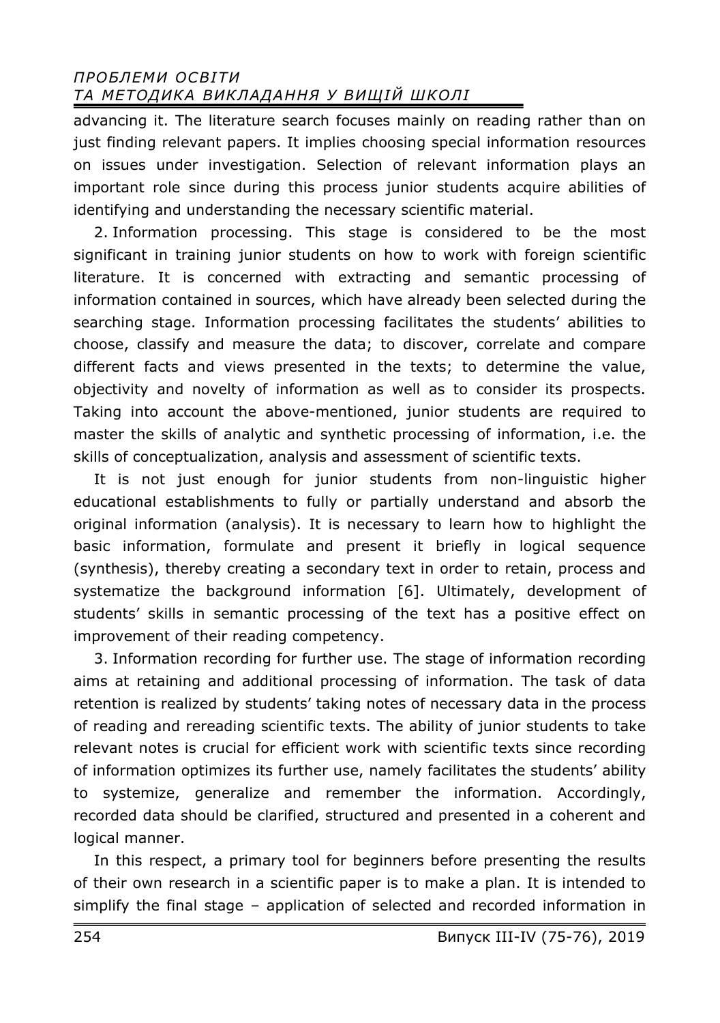advancing it. The literature search focuses mainly on reading rather than on just finding relevant papers. It implies choosing special information resources on issues under investigation. Selection of relevant information plays an important role since during this process junior students acquire abilities of identifying and understanding the necessary scientific material.

2. Information processing. This stage is considered to be the most significant in training junior students on how to work with foreign scientific literature. It is concerned with extracting and semantic processing of information contained in sources, which have already been selected during the searching stage. Information processing facilitates the students' abilities to choose, classify and measure the data; to discover, correlate and compare different facts and views presented in the texts; to determine the value, objectivity and novelty of information as well as to consider its prospects. Taking into account the above-mentioned, junior students are required to master the skills of analytic and synthetic processing of information, i.e. the skills of conceptualization, analysis and assessment of scientific texts.

It is not just enough for junior students from non-linguistic higher educational establishments to fully or partially understand and absorb the original information (analysis). It is necessary to learn how to highlight the basic information, formulate and present it briefly in logical sequence (synthesis), thereby creating a secondary text in order to retain, process and systematize the background information [6]. Ultimately, development of students' skills in semantic processing of the text has a positive effect on improvement of their reading competency.

3. Information recording for further use. The stage of information recording aims at retaining and additional processing of information. The task of data retention is realized by students' taking notes of necessary data in the process of reading and rereading scientific texts. The ability of junior students to take relevant notes is crucial for efficient work with scientific texts since recording of information optimizes its further use, namely facilitates the students' ability to systemize, generalize and remember the information. Accordingly, recorded data should be clarified, structured and presented in a coherent and logical manner.

In this respect, a primary tool for beginners before presenting the results of their own research in a scientific paper is to make a plan. It is intended to simplify the final stage – application of selected and recorded information in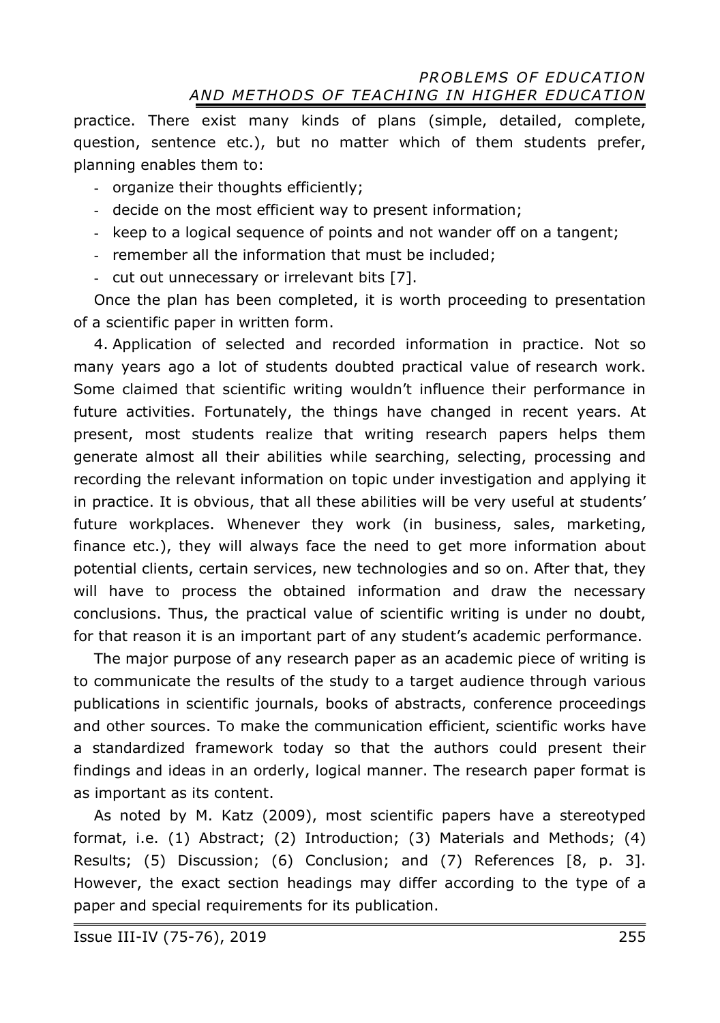practice. There exist many kinds of plans (simple, detailed, complete, question, sentence etc.), but no matter which of them students prefer, planning enables them to:

- organize their thoughts efficiently;
- decide on the most efficient way to present information;
- keep to a logical sequence of points and not wander off on a tangent;
- remember all the information that must be included;
- cut out unnecessary or irrelevant bits [7].

Once the plan has been completed, it is worth proceeding to presentation of a scientific paper in written form.

4. Application of selected and recorded information in practice. Not so many years ago a lot of students doubted practical value of research work. Some claimed that scientific writing wouldn't influence their performance in future activities. Fortunately, the things have changed in recent years. At present, most students realize that writing research papers helps them generate almost all their abilities while searching, selecting, processing and recording the relevant information on topic under investigation and applying it in practice. It is obvious, that all these abilities will be very useful at students' future workplaces. Whenever they work (in business, sales, marketing, finance etc.), they will always face the need to get more information about potential clients, certain services, new technologies and so on. After that, they will have to process the obtained information and draw the necessary conclusions. Thus, the practical value of scientific writing is under no doubt, for that reason it is an important part of any student's academic performance.

The major purpose of any research paper as an academic piece of writing is to communicate the results of the study to a target audience through various publications in scientific journals, books of abstracts, conference proceedings and other sources. To make the communication efficient, scientific works have a standardized framework today so that the authors could present their findings and ideas in an orderly, logical manner. The research paper format is as important as its content.

As noted by M. Katz (2009), most scientific papers have a stereotyped format, i.e. (1) Abstract; (2) Introduction; (3) Materials and Methods; (4) Results; (5) Discussion; (6) Conclusion; and (7) References [8, p. 3]. However, the exact section headings may differ according to the type of a paper and special requirements for its publication.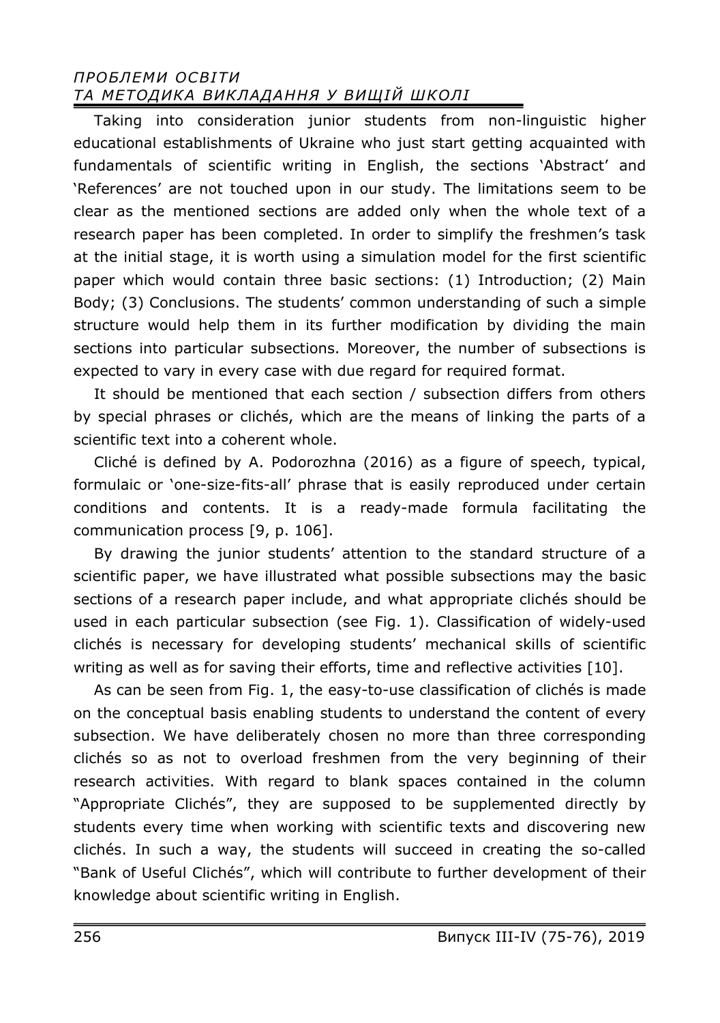Taking into consideration junior students from non-linguistic higher educational establishments of Ukraine who just start getting acquainted with fundamentals of scientific writing in English, the sections 'Abstract' and 'References' are not touched upon in our study. The limitations seem to be clear as the mentioned sections are added only when the whole text of a research paper has been completed. In order to simplify the freshmen's task at the initial stage, it is worth using a simulation model for the first scientific paper which would contain three basic sections: (1) Introduction; (2) Main Body; (3) Conclusions. The students' common understanding of such a simple structure would help them in its further modification by dividing the main sections into particular subsections. Moreover, the number of subsections is expected to vary in every case with due regard for required format.

It should be mentioned that each section / subsection differs from others by special phrases or clichés, which are the means of linking the parts of a scientific text into a coherent whole.

Cliché is defined by A. Podorozhna (2016) as a figure of speech, typical, formulaic or 'one-size-fits-all' phrase that is easily reproduced under certain conditions and contents. It is a ready-made formula facilitating the communication process [9, p. 106].

By drawing the junior students' attention to the standard structure of a scientific paper, we have illustrated what possible subsections may the basic sections of a research paper include, and what appropriate clichés should be used in each particular subsection (see Fig. 1). Classification of widely-used clichés is necessary for developing students' mechanical skills of scientific writing as well as for saving their efforts, time and reflective activities [10].

As can be seen from Fig. 1, the easy-to-use classification of clichés is made on the conceptual basis enabling students to understand the content of every subsection. We have deliberately chosen no more than three corresponding clichés so as not to overload freshmen from the very beginning of their research activities. With regard to blank spaces contained in the column "Appropriate Clichés", they are supposed to be supplemented directly by students every time when working with scientific texts and discovering new clichés. In such a way, the students will succeed in creating the so-called "Bank of Useful Clichés", which will contribute to further development of their knowledge about scientific writing in English.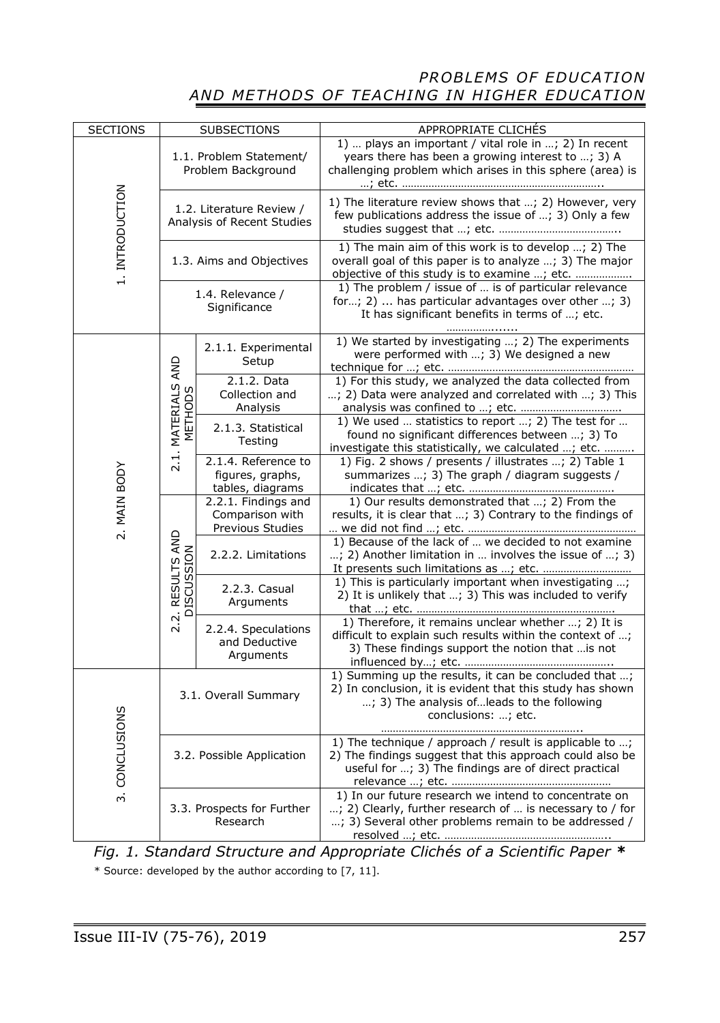| <b>SECTIONS</b> | SUBSECTIONS                                            |                                                             | APPROPRIATE CLICHÉS                                                                                                                                                                      |
|-----------------|--------------------------------------------------------|-------------------------------------------------------------|------------------------------------------------------------------------------------------------------------------------------------------------------------------------------------------|
| 1. INTRODUCTION | 1.1. Problem Statement/<br>Problem Background          |                                                             | 1)  plays an important / vital role in ; 2) In recent<br>years there has been a growing interest to ; 3) A<br>challenging problem which arises in this sphere (area) is                  |
|                 | 1.2. Literature Review /<br>Analysis of Recent Studies |                                                             | 1) The literature review shows that ; 2) However, very<br>few publications address the issue of ; 3) Only a few                                                                          |
|                 | 1.3. Aims and Objectives                               |                                                             | 1) The main aim of this work is to develop ; 2) The<br>overall goal of this paper is to analyze ; 3) The major<br>objective of this study is to examine ; etc.                           |
|                 | 1.4. Relevance /<br>Significance                       |                                                             | 1) The problem / issue of  is of particular relevance<br>for; 2)  has particular advantages over other ; 3)<br>It has significant benefits in terms of ; etc.                            |
| 2. MAIN BODY    | 2.1. MATERIALS AND<br>METHODS                          | 2.1.1. Experimental<br>Setup                                | 1) We started by investigating ; 2) The experiments<br>were performed with ; 3) We designed a new                                                                                        |
|                 |                                                        | 2.1.2. Data<br>Collection and<br>Analysis                   | 1) For this study, we analyzed the data collected from<br>; 2) Data were analyzed and correlated with ; 3) This                                                                          |
|                 |                                                        | 2.1.3. Statistical<br>Testing                               | 1) We used  statistics to report ; 2) The test for<br>found no significant differences between ; 3) To<br>investigate this statistically, we calculated ; etc.                           |
|                 |                                                        | 2.1.4. Reference to<br>figures, graphs,<br>tables, diagrams | 1) Fig. 2 shows / presents / illustrates ; 2) Table 1<br>summarizes ; 3) The graph / diagram suggests /                                                                                  |
|                 | 2.2. RESULTS AND<br><b>DISCUSSION</b>                  | 2.2.1. Findings and<br>Comparison with<br>Previous Studies  | 1) Our results demonstrated that ; 2) From the<br>results, it is clear that ; 3) Contrary to the findings of                                                                             |
|                 |                                                        | 2.2.2. Limitations                                          | 1) Because of the lack of  we decided to not examine<br>; 2) Another limitation in  involves the issue of ; 3)                                                                           |
|                 |                                                        | 2.2.3. Casual<br>Arguments                                  | 1) This is particularly important when investigating ;<br>2) It is unlikely that ; 3) This was included to verify                                                                        |
|                 |                                                        | 2.2.4. Speculations<br>and Deductive<br>Arguments           | 1) Therefore, it remains unclear whether ; 2) It is<br>difficult to explain such results within the context of ;<br>3) These findings support the notion that  is not                    |
| 3. CONCLUSIONS  | 3.1. Overall Summary                                   |                                                             | 1) Summing up the results, it can be concluded that ;<br>2) In conclusion, it is evident that this study has shown<br>; 3) The analysis of leads to the following<br>conclusions: ; etc. |
|                 | 3.2. Possible Application                              |                                                             | 1) The technique / approach / result is applicable to ;<br>2) The findings suggest that this approach could also be<br>useful for ; 3) The findings are of direct practical              |
|                 | 3.3. Prospects for Further<br>Research                 |                                                             | 1) In our future research we intend to concentrate on<br>; 2) Clearly, further research of  is necessary to / for<br>; 3) Several other problems remain to be addressed /                |

*Fig. 1. Standard Structure and Appropriate Clichés of a Scientific Paper \**  \* Source: developed by the author according to [7, 11].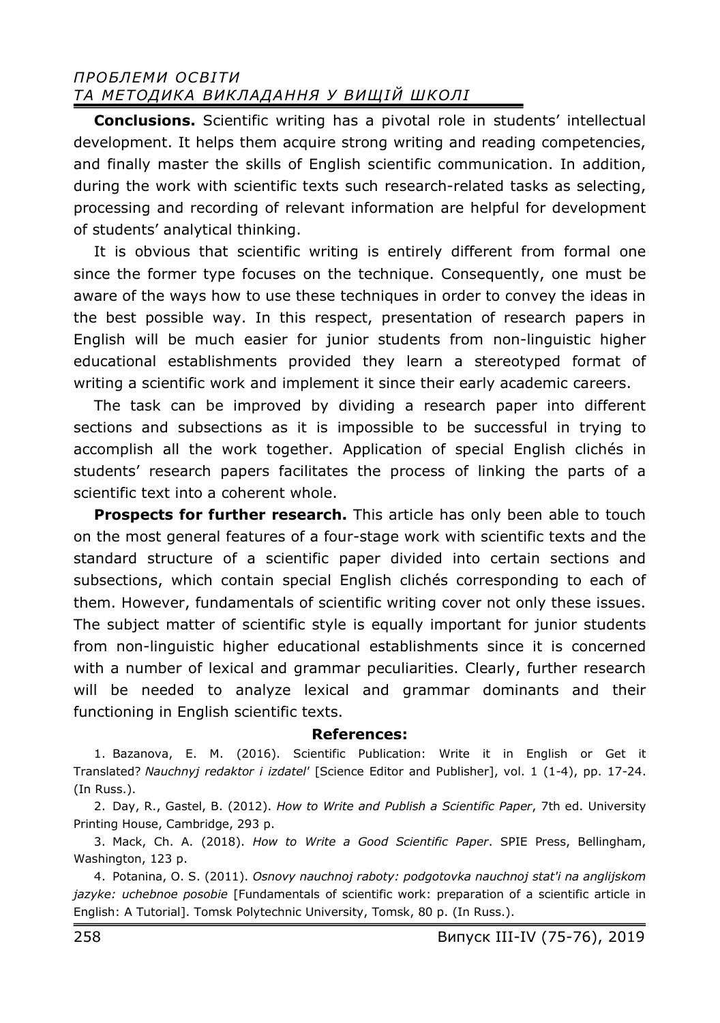**Conclusions.** Scientific writing has a pivotal role in students' intellectual development. It helps them acquire strong writing and reading competencies, and finally master the skills of English scientific communication. In addition, during the work with scientific texts such research-related tasks as selecting, processing and recording of relevant information are helpful for development of students' analytical thinking.

It is obvious that scientific writing is entirely different from formal one since the former type focuses on the technique. Consequently, one must be aware of the ways how to use these techniques in order to convey the ideas in the best possible way. In this respect, presentation of research papers in English will be much easier for junior students from non-linguistic higher educational establishments provided they learn a stereotyped format of writing a scientific work and implement it since their early academic careers.

The task can be improved by dividing a research paper into different sections and subsections as it is impossible to be successful in trying to accomplish all the work together. Application of special English clichés in students' research papers facilitates the process of linking the parts of a scientific text into a coherent whole.

**Prospects for further research.** This article has only been able to touch on the most general features of a four-stage work with scientific texts and the standard structure of a scientific paper divided into certain sections and subsections, which contain special English clichés corresponding to each of them. However, fundamentals of scientific writing cover not only these issues. The subject matter of scientific style is equally important for junior students from non-linguistic higher educational establishments since it is concerned with a number of lexical and grammar peculiarities. Clearly, further research will be needed to analyze lexical and grammar dominants and their functioning in English scientific texts.

#### **References:**

1. Bazanova, E. M. (2016). Scientific Publication: Write it in English or Get it Translated? *Nauchnyj redaktor i izdatel'* [Science Editor and Publisher], vol. 1 (1-4), pp. 17-24. (In Russ.).

2. Day, R., Gastel, B. (2012). *How to Write and Publish a Scientific Paper*, 7th ed. University Printing House, Cambridge, 293 p.

3. Mack, Ch. A. (2018). *How to Write a Good Scientific Paper*. SPIE Press, Bellingham, Washington, 123 p.

4. Potanina, О. S. (2011). *Osnovy nauchnoj raboty: podgotovka nauchnoj stat'i na anglijskom jazyke: uchebnoe posobie* [Fundamentals of scientific work: preparation of a scientific article in English: A Tutorial]. Tomsk Polytechnic University, Tomsk, 80 p. (In Russ.).